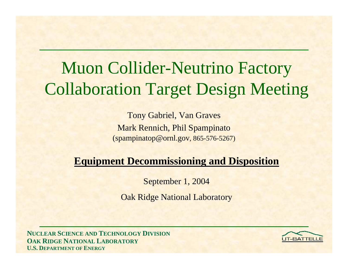# Muon Collider-Neutrino Factory Collaboration Target Design Meeting

Tony Gabriel, Van Graves Mark Rennich, Phil Spampinato (spampinatop@ornl.gov, 865-576-5267)

#### **Equipment Decommissioning and Disposition**

September 1, 2004

Oak Ridge National Laboratory

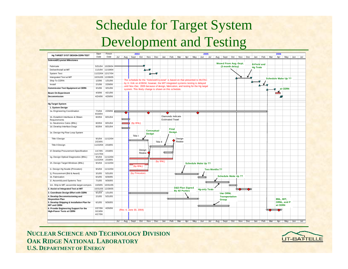### Schedule for Target System Development and Testing

|                                                                    | Start                   | Finish   |     |             | 2004                                                                                                                                                          |                |        | 2005              |     |                         |                       |                            |           |                            |                      |     |                              |          |     |           |                    | 2006 |                     |                  |                    |     |     |
|--------------------------------------------------------------------|-------------------------|----------|-----|-------------|---------------------------------------------------------------------------------------------------------------------------------------------------------------|----------------|--------|-------------------|-----|-------------------------|-----------------------|----------------------------|-----------|----------------------------|----------------------|-----|------------------------------|----------|-----|-----------|--------------------|------|---------------------|------------------|--------------------|-----|-----|
| Hg TARGET SYST DESIGN-CERN TEST                                    | Date                    | Date     | Jul | Aug $\vert$ | Sept   Oct                                                                                                                                                    |                | Nov    | Dec               | Jan | Feb                     | Mar                   | Apr                        | May       | Jun                        | Jul                  | Aug | Sept                         | Oct      | Nov | Dec       | Jan                | Feb  | Mar                 | Apr              | May                | Jun | Jul |
| <b>Solenoid/Cryostat Milestones</b>                                |                         |          |     |             |                                                                                                                                                               |                |        |                   |     |                         |                       |                            |           |                            |                      |     |                              |          |     |           |                    |      |                     |                  |                    |     |     |
| Fabricate                                                          | 5/31/04                 | 10/28/04 |     |             |                                                                                                                                                               |                |        |                   |     |                         |                       |                            |           |                            |                      |     | <b>Moved From Aug.-Sept.</b> |          |     |           | <b>B-Field and</b> |      |                     |                  |                    |     |     |
|                                                                    |                         |          |     |             |                                                                                                                                                               |                |        |                   |     |                         |                       |                            |           |                            |                      |     | (3 month delay)              |          |     |           | <b>Hg Tests</b>    |      |                     |                  |                    |     |     |
| Deliver/Install at MIT                                             | 11/1/04                 | 11/19/04 |     |             |                                                                                                                                                               |                |        |                   |     |                         |                       |                            |           |                            |                      |     |                              |          |     |           |                    |      |                     |                  |                    |     |     |
| <b>System Test</b>                                                 | 11/22/04 12/17/04       |          |     |             |                                                                                                                                                               |                | ∼      |                   |     |                         |                       |                            |           |                            |                      |     |                              |          |     |           |                    |      |                     |                  |                    |     |     |
| Intergrated Test at MIT                                            | 10/31/05 12/28/05       |          |     |             |                                                                                                                                                               |                |        |                   |     |                         |                       |                            |           |                            |                      |     |                              |          |     |           |                    |      | Schedule Make Up ?? |                  |                    |     |     |
| Ship To CERN                                                       | 1/2/06                  | 1/31/06  |     |             | The schedule for the "Solenoid/Cryostat" is based on that presented to MUTAC<br>by H. Kirk on 4/28/04; however, the MIT integrated systems testing is delayed |                |        |                   |     |                         |                       |                            |           |                            |                      |     |                              |          |     |           |                    |      |                     |                  |                    |     |     |
| Install                                                            | 2/1/06                  | 2/28/06  |     |             | until Nov.-Dec. 2005 because of design, fabrication, and testing for the Hg target                                                                            |                |        |                   |     |                         |                       |                            |           |                            |                      |     |                              |          |     |           |                    |      |                     |                  |                    |     |     |
| <b>Commission Test Equipment at CERN</b>                           | 3/1/06                  | 3/31/06  |     |             | system. This likely change is shown on this schedule.                                                                                                         |                |        |                   |     |                         |                       |                            |           |                            |                      |     |                              |          |     |           |                    |      |                     |                  | at CERN            |     |     |
| <b>Beam On Experiment</b>                                          | 4/3/06                  | 4/21/06  |     |             |                                                                                                                                                               |                |        |                   |     |                         |                       |                            |           |                            |                      |     |                              |          |     |           |                    |      |                     |                  |                    |     |     |
| Decommission                                                       | 4/24/06                 | 4/28/06  |     |             |                                                                                                                                                               |                |        |                   |     |                         |                       |                            |           |                            |                      |     |                              |          |     |           |                    |      |                     | ∧⊽               |                    |     |     |
|                                                                    |                         |          |     |             |                                                                                                                                                               |                |        |                   |     |                         |                       |                            |           |                            |                      |     |                              |          |     |           |                    |      |                     |                  |                    |     |     |
| <b>Hg Target System</b>                                            |                         |          |     |             |                                                                                                                                                               |                |        |                   |     |                         |                       |                            |           |                            |                      |     |                              |          |     |           |                    |      |                     |                  |                    |     |     |
| 1. System Design                                                   |                         |          |     |             |                                                                                                                                                               |                |        |                   |     |                         |                       |                            |           |                            |                      |     |                              |          |     |           |                    |      |                     |                  |                    |     |     |
| 1a. Engineering Coordination                                       | 7/1/04                  | 2/28/06  |     |             |                                                                                                                                                               |                |        |                   |     |                         |                       |                            |           |                            |                      |     |                              |          |     |           |                    |      |                     |                  |                    |     |     |
|                                                                    | 8/18/04                 |          |     |             |                                                                                                                                                               |                |        |                   |     | Diamonds Indicate       |                       |                            |           |                            |                      |     |                              |          |     |           |                    |      |                     |                  |                    |     |     |
| 1b. Establish Interfaces & Obtain<br>Requirements                  | 8/2/04                  | 8/31/04  |     |             |                                                                                                                                                               |                |        |                   |     | <b>Estimated Travel</b> |                       |                            |           |                            |                      |     |                              |          |     |           |                    |      |                     |                  |                    |     |     |
| 1c. Neutronics Calcs (BNL)                                         | 8/2/04                  | 8/31/04  |     |             | (by BNL)                                                                                                                                                      |                |        |                   |     |                         |                       |                            |           |                            |                      |     |                              |          |     |           |                    |      |                     |                  |                    |     |     |
| 1d. Develop Interface Dwgs                                         | 8/2/04                  | 8/31/04  |     |             |                                                                                                                                                               |                |        |                   |     |                         |                       |                            |           |                            |                      |     |                              |          |     |           |                    |      |                     |                  |                    |     |     |
|                                                                    |                         |          |     |             |                                                                                                                                                               |                |        | <b>Conceptual</b> |     | <b>Final</b>            |                       |                            |           |                            |                      |     |                              |          |     |           |                    |      |                     |                  |                    |     |     |
| 1e. Design Hg Flow Loop System                                     |                         |          |     |             |                                                                                                                                                               |                | Design |                   |     | <b>Design</b>           |                       |                            |           |                            |                      |     |                              |          |     |           |                    |      |                     |                  |                    |     |     |
|                                                                    |                         |          |     |             | Title I                                                                                                                                                       |                |        |                   |     |                         |                       |                            |           |                            |                      |     |                              |          |     |           |                    |      |                     |                  |                    |     |     |
| Title I Design                                                     | 9/1/04<br>2/23/05       | 11/12/04 |     |             |                                                                                                                                                               |                |        |                   |     |                         | Design<br>Review      |                            |           |                            |                      |     |                              |          |     |           |                    |      |                     |                  |                    |     |     |
| <b>Title II Design</b>                                             | 11/22/04 2/18/05        |          |     |             |                                                                                                                                                               |                |        | Title II          |     |                         |                       |                            |           |                            |                      |     |                              |          |     |           |                    |      |                     |                  |                    |     |     |
|                                                                    |                         |          |     |             |                                                                                                                                                               |                |        |                   |     |                         |                       |                            |           |                            |                      |     |                              |          |     |           |                    |      |                     |                  |                    |     |     |
| 1f. Develop Procurement Specification                              | 1/17/05                 | 2/18/05  |     |             |                                                                                                                                                               | Design         |        |                   |     |                         |                       |                            |           |                            |                      |     |                              |          |     |           |                    |      |                     |                  |                    |     |     |
|                                                                    | 11/17/04                |          |     |             |                                                                                                                                                               | Review         |        |                   |     |                         |                       |                            |           |                            |                      |     |                              |          |     |           |                    |      |                     |                  |                    |     |     |
| 1g. Design Optical Diagnostics (BNL)                               | 9/1/04                  | 11/12/04 |     |             |                                                                                                                                                               |                |        |                   |     |                         |                       |                            |           |                            |                      |     |                              |          |     |           |                    |      |                     |                  |                    |     |     |
|                                                                    | 11/22/04                | 2/18/05  |     |             |                                                                                                                                                               |                |        | - (by BNL)        |     |                         |                       |                            |           |                            |                      |     |                              |          |     |           |                    |      |                     |                  |                    |     |     |
| 1h. Design Target Windows (BNL)                                    | 9/1/04                  | 11/12/04 |     |             |                                                                                                                                                               | (by BNL)       |        |                   |     |                         |                       |                            |           | <b>Schedule Make Up ??</b> |                      |     |                              |          |     |           |                    |      |                     |                  |                    |     |     |
| 1i. Design Hg Nozzle (Princeton)                                   | 9/1/04                  | 11/12/04 |     |             |                                                                                                                                                               |                |        |                   |     |                         |                       |                            |           |                            | <b>Two Months ??</b> |     |                              |          |     |           |                    |      |                     |                  |                    |     |     |
| 1j. Procurement (Bid & Award)                                      | 3/1/05                  | 5/31/05  |     |             |                                                                                                                                                               | (by Princeton) |        |                   |     |                         | ᠭᠴ                    |                            |           |                            |                      |     |                              |          |     |           |                    |      |                     |                  |                    |     |     |
| 1k. Fabrication                                                    | 6/1/05                  | 6/30/05  |     |             |                                                                                                                                                               |                |        |                   |     |                         |                       |                            |           |                            |                      |     | <b>Schedule Make Up ??</b>   |          |     |           |                    |      |                     |                  |                    |     |     |
| 11. Assembly and Systems Test                                      | 7/1/05                  | 9/30/05  |     |             |                                                                                                                                                               |                |        |                   |     |                         |                       |                            |           |                            |                      |     |                              |          |     |           |                    |      |                     |                  |                    |     |     |
| 1m. Ship to MIT; assemble target compon.                           | 10/3/05                 | 10/31/05 |     |             |                                                                                                                                                               |                |        |                   |     |                         |                       |                            |           |                            |                      |     |                              | ᠀        |     |           |                    |      |                     |                  |                    |     |     |
| 2. Assist w/ Integrated Test at MIT                                | 10/31/05                | 12/28/05 |     |             |                                                                                                                                                               |                |        |                   |     |                         |                       | <b>D&amp;D Plan Signed</b> |           | <b>Hg-only Tests</b>       |                      |     |                              |          |     | $\bullet$ |                    |      |                     |                  |                    |     |     |
| 3. Coordinate Design Effort with CERN                              | $\frac{1}{4}$<br>9/1/04 | 1/31/05  |     |             |                                                                                                                                                               |                |        |                   |     |                         | <b>By All Parties</b> |                            |           |                            |                      |     | <b>Use ORNL</b>              |          |     |           |                    |      |                     |                  |                    |     |     |
| 4. Develop Decommissioning and                                     | 2/1/05                  | 5/31/05  |     |             |                                                                                                                                                               |                |        |                   |     |                         |                       |                            |           |                            |                      |     | <b>Transportation</b>        |          |     |           |                    |      |                     |                  |                    |     |     |
| <b>Disposition Plan</b>                                            |                         |          |     |             |                                                                                                                                                               |                |        |                   |     |                         |                       |                            |           |                            |                      |     | Group                        |          |     |           |                    |      |                     | <b>BNL, MIT.</b> |                    |     |     |
| 5. Develop Shipping & Installation Plan for<br><b>MIT and CERN</b> | 6/1/05                  | 9/30/05  |     |             |                                                                                                                                                               |                |        |                   |     |                         |                       |                            |           |                            |                      |     |                              |          |     |           |                    |      |                     | at CERN          | <b>ORNL.</b> and P |     |     |
| 6. Provide Engineering Support for the                             | 2/27/06                 | 4/26/06  |     |             |                                                                                                                                                               |                |        |                   |     |                         |                       |                            |           |                            |                      |     |                              |          |     |           |                    |      |                     | ឃ                |                    |     |     |
| <b>High-Power Tests at CERN</b>                                    | 3/13/06                 |          |     |             | (Rev. 4, June 30, 2004)                                                                                                                                       |                |        |                   |     |                         |                       |                            |           |                            |                      |     |                              |          |     |           |                    |      |                     |                  |                    |     |     |
|                                                                    | 4/17/06                 |          |     |             |                                                                                                                                                               |                |        |                   |     |                         |                       |                            |           |                            |                      |     |                              |          |     |           |                    |      |                     |                  |                    |     |     |
|                                                                    |                         |          |     |             |                                                                                                                                                               |                |        |                   |     |                         |                       |                            |           |                            |                      |     |                              |          |     |           |                    |      |                     |                  |                    |     |     |
|                                                                    |                         |          | Jul | Aug         | Sept                                                                                                                                                          | Oct            | Nov    | Dec               | Jan | Feb                     | Mar                   |                            | Apr   May | Jun                        | Jul                  | Aug |                              | Sept Oct | Nov | Dec       | Jan                | Feb  | Mar                 | Apr              | May                | Jun | Jul |

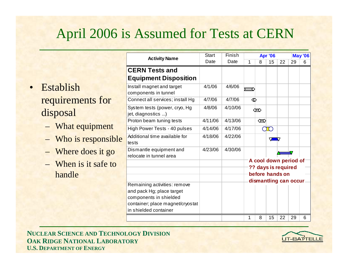#### April 2006 is Assumed for Tests at CERN

• Establish requirements for disposal

- What equipment
- Who is responsible
- Where does it go
- When is it safe to handle

| <b>Activity Name</b>                                                                                                                             | <b>Start</b> | Finish  | <b>Apr '06</b><br><b>May '06</b> |                                                                                          |          |    |    |   |  |  |
|--------------------------------------------------------------------------------------------------------------------------------------------------|--------------|---------|----------------------------------|------------------------------------------------------------------------------------------|----------|----|----|---|--|--|
|                                                                                                                                                  | Date         | Date    | 1                                | 8                                                                                        | 15       | 22 | 29 | 6 |  |  |
| <b>CERN Tests and</b>                                                                                                                            |              |         |                                  |                                                                                          |          |    |    |   |  |  |
| <b>Equipment Disposition</b>                                                                                                                     |              |         |                                  |                                                                                          |          |    |    |   |  |  |
| Install magnet and target<br>components in tunnel                                                                                                | 4/1/06       | 4/6/06  | て                                |                                                                                          |          |    |    |   |  |  |
| Connect all services; install Hg                                                                                                                 | 4/7/06       | 4/7/06  | ⇙                                |                                                                                          |          |    |    |   |  |  |
| System tests (power, cryo, Hg<br>jet, diagnostics )                                                                                              | 4/8/06       | 4/10/06 |                                  | ∞                                                                                        |          |    |    |   |  |  |
| Proton beam tuning tests                                                                                                                         | 4/11/06      | 4/13/06 |                                  | $\infty$                                                                                 |          |    |    |   |  |  |
| High Power Tests - 40 pulses                                                                                                                     | 4/14/06      | 4/17/06 |                                  |                                                                                          | $\Gamma$ |    |    |   |  |  |
| Additional time available for<br>tests                                                                                                           | 4/18/06      | 4/22/06 |                                  |                                                                                          | V        |    |    |   |  |  |
| Dismantle equipment and<br>relocate in tunnel area                                                                                               | 4/23/06      | 4/30/06 |                                  |                                                                                          |          |    |    |   |  |  |
|                                                                                                                                                  |              |         |                                  | A cool down period of<br>?? days is required<br>before hands on<br>dismantling can occur |          |    |    |   |  |  |
| Remaining activities: remove<br>and pack Hg; place target<br>components in shielded<br>container; place magnet/cryostat<br>in shielded container |              |         |                                  |                                                                                          |          |    |    |   |  |  |
|                                                                                                                                                  |              |         | 1                                | 8                                                                                        | 15       | 22 | 29 | 6 |  |  |

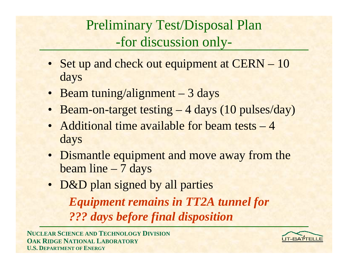## Preliminary Test/Disposal Plan -for discussion only-

- Set up and check out equipment at CERN 10 days
- Beam tuning/alignment 3 days
- Beam-on-target testing 4 days (10 pulses/day)
- Additional time available for beam tests 4 days
- Dismantle equipment and move away from the beam line – 7 days
- D&D plan signed by all parties

*Equipment remains in TT2A tunnel for ??? days before final disposition*

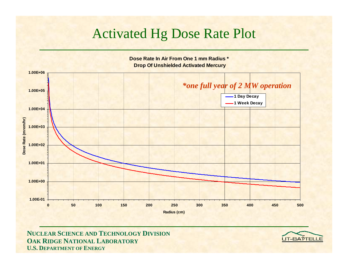#### Activated Hg Dose Rate Plot



**Dose Rate In Air From One 1 mm Radius \* Drop Of Unshielded Activated Mercury**